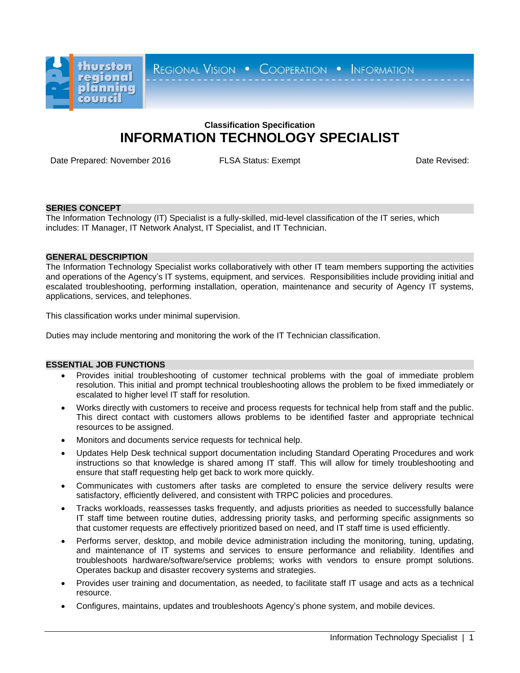

REGIONAL VISION . COOPERATION . INFORMATION

# **Classification Specification INFORMATION TECHNOLOGY SPECIALIST**

Date Prepared: November 2016 FLSA Status: Exempt Contract Contract Contract Date Revised:

# **SERIES CONCEPT**

The Information Technology (IT) Specialist is a fully-skilled, mid-level classification of the IT series, which includes: IT Manager, IT Network Analyst, IT Specialist, and IT Technician.

# **GENERAL DESCRIPTION**

The Information Technology Specialist works collaboratively with other IT team members supporting the activities and operations of the Agency's IT systems, equipment, and services. Responsibilities include providing initial and escalated troubleshooting, performing installation, operation, maintenance and security of Agency IT systems, applications, services, and telephones.

This classification works under minimal supervision.

Duties may include mentoring and monitoring the work of the IT Technician classification.

# **ESSENTIAL JOB FUNCTIONS**

- Provides initial troubleshooting of customer technical problems with the goal of immediate problem resolution. This initial and prompt technical troubleshooting allows the problem to be fixed immediately or escalated to higher level IT staff for resolution.
- Works directly with customers to receive and process requests for technical help from staff and the public. This direct contact with customers allows problems to be identified faster and appropriate technical resources to be assigned.
- Monitors and documents service requests for technical help.
- Updates Help Desk technical support documentation including Standard Operating Procedures and work instructions so that knowledge is shared among IT staff. This will allow for timely troubleshooting and ensure that staff requesting help get back to work more quickly.
- Communicates with customers after tasks are completed to ensure the service delivery results were satisfactory, efficiently delivered, and consistent with TRPC policies and procedures.
- Tracks workloads, reassesses tasks frequently, and adjusts priorities as needed to successfully balance IT staff time between routine duties, addressing priority tasks, and performing specific assignments so that customer requests are effectively prioritized based on need, and IT staff time is used efficiently.
- Performs server, desktop, and mobile device administration including the monitoring, tuning, updating, and maintenance of IT systems and services to ensure performance and reliability. Identifies and troubleshoots hardware/software/service problems; works with vendors to ensure prompt solutions. Operates backup and disaster recovery systems and strategies.
- Provides user training and documentation, as needed, to facilitate staff IT usage and acts as a technical resource.
- Configures, maintains, updates and troubleshoots Agency's phone system, and mobile devices.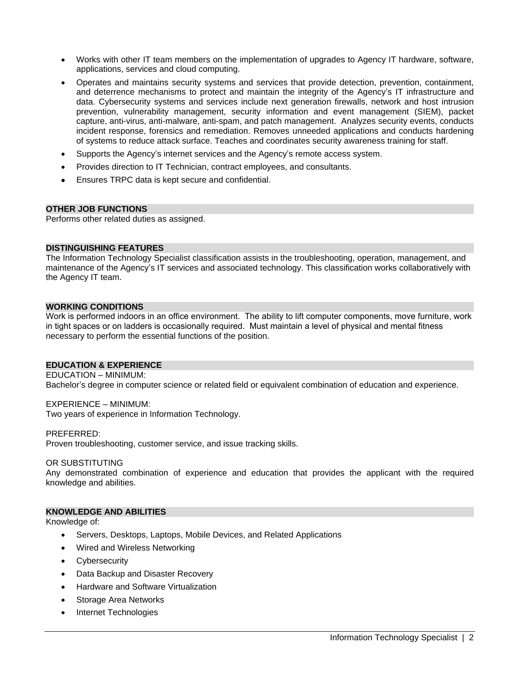- Works with other IT team members on the implementation of upgrades to Agency IT hardware, software, applications, services and cloud computing.
- Operates and maintains security systems and services that provide detection, prevention, containment, and deterrence mechanisms to protect and maintain the integrity of the Agency's IT infrastructure and data. Cybersecurity systems and services include next generation firewalls, network and host intrusion prevention, vulnerability management, security information and event management (SIEM), packet capture, anti-virus, anti-malware, anti-spam, and patch management. Analyzes security events, conducts incident response, forensics and remediation. Removes unneeded applications and conducts hardening of systems to reduce attack surface. Teaches and coordinates security awareness training for staff.
- Supports the Agency's internet services and the Agency's remote access system.
- Provides direction to IT Technician, contract employees, and consultants.
- Ensures TRPC data is kept secure and confidential.

### **OTHER JOB FUNCTIONS**

Performs other related duties as assigned.

# **DISTINGUISHING FEATURES**

The Information Technology Specialist classification assists in the troubleshooting, operation, management, and maintenance of the Agency's IT services and associated technology. This classification works collaboratively with the Agency IT team.

## **WORKING CONDITIONS**

Work is performed indoors in an office environment. The ability to lift computer components, move furniture, work in tight spaces or on ladders is occasionally required. Must maintain a level of physical and mental fitness necessary to perform the essential functions of the position.

### **EDUCATION & EXPERIENCE**

#### EDUCATION – MINIMUM:

Bachelor's degree in computer science or related field or equivalent combination of education and experience.

### EXPERIENCE – MINIMUM:

Two years of experience in Information Technology.

### PREFERRED:

Proven troubleshooting, customer service, and issue tracking skills.

### OR SUBSTITUTING

Any demonstrated combination of experience and education that provides the applicant with the required knowledge and abilities.

## **KNOWLEDGE AND ABILITIES**

Knowledge of:

- Servers, Desktops, Laptops, Mobile Devices, and Related Applications
- Wired and Wireless Networking
- Cybersecurity
- Data Backup and Disaster Recovery
- Hardware and Software Virtualization
- Storage Area Networks
- Internet Technologies